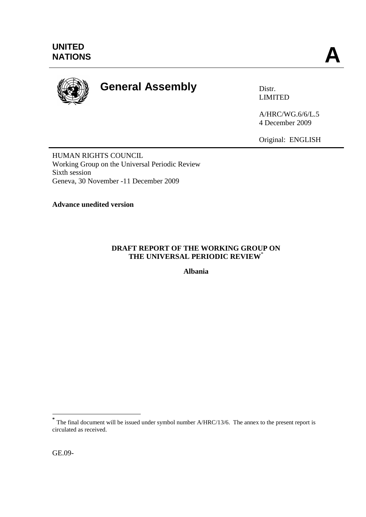

# **General Assembly** Distr.

LIMITED

A/HRC/WG.6/6/L.5 4 December 2009

Original: ENGLISH

HUMAN RIGHTS COUNCIL Working Group on the Universal Periodic Review Sixth session Geneva, 30 November -11 December 2009

**Advance unedited version** 

# **DRAFT REPORT OF THE WORKING GROUP ON THE UNIVERSAL PERIODIC REVIEW**\*

**Albania**

<sup>&</sup>lt;sup>\*</sup><br>
The final document will be issued under symbol number A/HRC/13/6. The annex to the present report is circulated as received.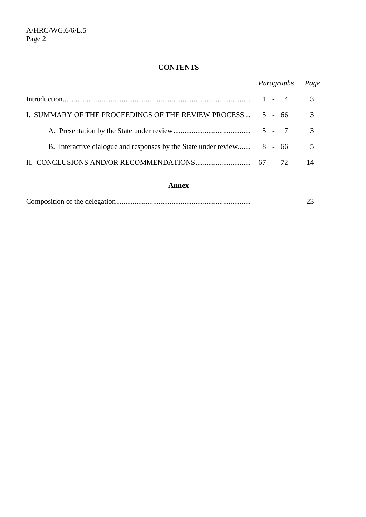# **CONTENTS**

|                                                                        | Paragraphs | Page           |
|------------------------------------------------------------------------|------------|----------------|
|                                                                        | $1 - 4$    | 3              |
| I. SUMMARY OF THE PROCEEDINGS OF THE REVIEW PROCESS                    | 5 - 66     | 3              |
|                                                                        |            | $\mathcal{R}$  |
| B. Interactive dialogue and responses by the State under review 8 - 66 |            | $5\phantom{0}$ |
|                                                                        |            | 14             |

#### **Annex**

|--|--|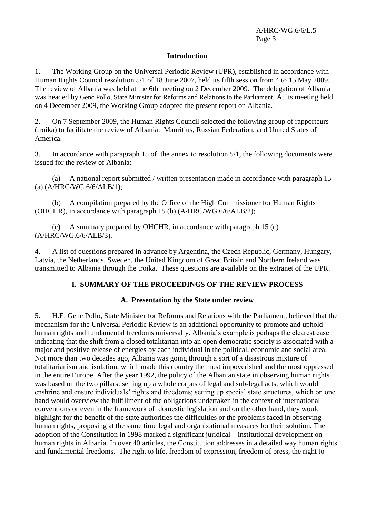#### **Introduction**

1. The Working Group on the Universal Periodic Review (UPR), established in accordance with Human Rights Council resolution 5/1 of 18 June 2007, held its fifth session from 4 to 15 May 2009. The review of Albania was held at the 6th meeting on 2 December 2009. The delegation of Albania was headed by Genc Pollo, State Minister for Reforms and Relations to the Parliament. At its meeting held on 4 December 2009, the Working Group adopted the present report on Albania.

2. On 7 September 2009, the Human Rights Council selected the following group of rapporteurs (troika) to facilitate the review of Albania: Mauritius, Russian Federation, and United States of America.

3. In accordance with paragraph 15 of the annex to resolution 5/1, the following documents were issued for the review of Albania:

(a) A national report submitted / written presentation made in accordance with paragraph 15 (a) (A/HRC/WG.6/6/ALB/1);

(b) A compilation prepared by the Office of the High Commissioner for Human Rights (OHCHR), in accordance with paragraph 15 (b) (A/HRC/WG.6/6/ALB/2);

(c) A summary prepared by OHCHR, in accordance with paragraph  $15$  (c) (A/HRC/WG.6/6/ALB/3).

4. A list of questions prepared in advance by Argentina, the Czech Republic, Germany, Hungary, Latvia, the Netherlands, Sweden, the United Kingdom of Great Britain and Northern Ireland was transmitted to Albania through the troika. These questions are available on the extranet of the UPR.

## **I. SUMMARY OF THE PROCEEDINGS OF THE REVIEW PROCESS**

#### **A. Presentation by the State under review**

5. H.E. Genc Pollo, State Minister for Reforms and Relations with the Parliament, believed that the mechanism for the Universal Periodic Review is an additional opportunity to promote and uphold human rights and fundamental freedoms universally. Albania's example is perhaps the clearest case indicating that the shift from a closed totalitarian into an open democratic society is associated with a major and positive release of energies by each individual in the political, economic and social area. Not more than two decades ago, Albania was going through a sort of a disastrous mixture of totalitarianism and isolation, which made this country the most impoverished and the most oppressed in the entire Europe. After the year 1992, the policy of the Albanian state in observing human rights was based on the two pillars: setting up a whole corpus of legal and sub-legal acts, which would enshrine and ensure individuals' rights and freedoms; setting up special state structures, which on one hand would overview the fulfillment of the obligations undertaken in the context of international conventions or even in the framework of domestic legislation and on the other hand, they would highlight for the benefit of the state authorities the difficulties or the problems faced in observing human rights, proposing at the same time legal and organizational measures for their solution. The adoption of the Constitution in 1998 marked a significant juridical – institutional development on human rights in Albania. In over 40 articles, the Constitution addresses in a detailed way human rights and fundamental freedoms. The right to life, freedom of expression, freedom of press, the right to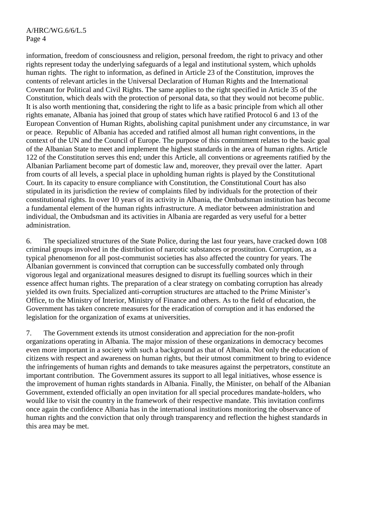information, freedom of consciousness and religion, personal freedom, the right to privacy and other rights represent today the underlying safeguards of a legal and institutional system, which upholds human rights. The right to information, as defined in Article 23 of the Constitution, improves the contents of relevant articles in the Universal Declaration of Human Rights and the International Covenant for Political and Civil Rights. The same applies to the right specified in Article 35 of the Constitution, which deals with the protection of personal data, so that they would not become public. It is also worth mentioning that, considering the right to life as a basic principle from which all other rights emanate, Albania has joined that group of states which have ratified Protocol 6 and 13 of the European Convention of Human Rights, abolishing capital punishment under any circumstance, in war or peace. Republic of Albania has acceded and ratified almost all human right conventions, in the context of the UN and the Council of Europe. The purpose of this commitment relates to the basic goal of the Albanian State to meet and implement the highest standards in the area of human rights. Article 122 of the Constitution serves this end; under this Article, all conventions or agreements ratified by the Albanian Parliament become part of domestic law and, moreover, they prevail over the latter. Apart from courts of all levels, a special place in upholding human rights is played by the Constitutional Court. In its capacity to ensure compliance with Constitution, the Constitutional Court has also stipulated in its jurisdiction the review of complaints filed by individuals for the protection of their constitutional rights. In over 10 years of its activity in Albania, the Ombudsman institution has become a fundamental element of the human rights infrastructure. A mediator between administration and individual, the Ombudsman and its activities in Albania are regarded as very useful for a better administration.

6. The specialized structures of the State Police, during the last four years, have cracked down 108 criminal groups involved in the distribution of narcotic substances or prostitution. Corruption, as a typical phenomenon for all post-communist societies has also affected the country for years. The Albanian government is convinced that corruption can be successfully combated only through vigorous legal and organizational measures designed to disrupt its fuelling sources which in their essence affect human rights. The preparation of a clear strategy on combating corruption has already yielded its own fruits. Specialized anti-corruption structures are attached to the Prime Minister's Office, to the Ministry of Interior, Ministry of Finance and others. As to the field of education, the Government has taken concrete measures for the eradication of corruption and it has endorsed the legislation for the organization of exams at universities.

7. The Government extends its utmost consideration and appreciation for the non-profit organizations operating in Albania. The major mission of these organizations in democracy becomes even more important in a society with such a background as that of Albania. Not only the education of citizens with respect and awareness on human rights, but their utmost commitment to bring to evidence the infringements of human rights and demands to take measures against the perpetrators, constitute an important contribution. The Government assures its support to all legal initiatives, whose essence is the improvement of human rights standards in Albania. Finally, the Minister, on behalf of the Albanian Government, extended officially an open invitation for all special procedures mandate-holders, who would like to visit the country in the framework of their respective mandate. This invitation confirms once again the confidence Albania has in the international institutions monitoring the observance of human rights and the conviction that only through transparency and reflection the highest standards in this area may be met.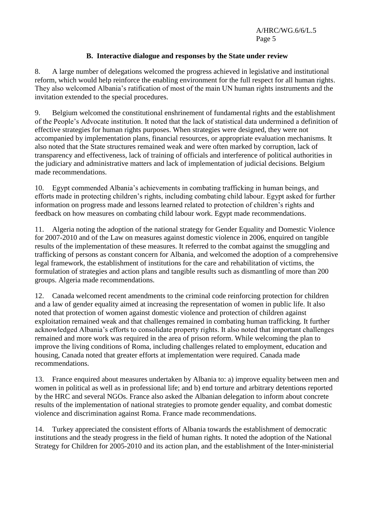## **B. Interactive dialogue and responses by the State under review**

8. A large number of delegations welcomed the progress achieved in legislative and institutional reform, which would help reinforce the enabling environment for the full respect for all human rights. They also welcomed Albania's ratification of most of the main UN human rights instruments and the invitation extended to the special procedures.

9. Belgium welcomed the constitutional enshrinement of fundamental rights and the establishment of the People's Advocate institution. It noted that the lack of statistical data undermined a definition of effective strategies for human rights purposes. When strategies were designed, they were not accompanied by implementation plans, financial resources, or appropriate evaluation mechanisms. It also noted that the State structures remained weak and were often marked by corruption, lack of transparency and effectiveness, lack of training of officials and interference of political authorities in the judiciary and administrative matters and lack of implementation of judicial decisions. Belgium made recommendations.

10. Egypt commended Albania's achievements in combating trafficking in human beings, and efforts made in protecting children's rights, including combating child labour. Egypt asked for further information on progress made and lessons learned related to protection of children's rights and feedback on how measures on combating child labour work. Egypt made recommendations.

11. Algeria noting the adoption of the national strategy for Gender Equality and Domestic Violence for 2007-2010 and of the Law on measures against domestic violence in 2006, enquired on tangible results of the implementation of these measures. It referred to the combat against the smuggling and trafficking of persons as constant concern for Albania, and welcomed the adoption of a comprehensive legal framework, the establishment of institutions for the care and rehabilitation of victims, the formulation of strategies and action plans and tangible results such as dismantling of more than 200 groups. Algeria made recommendations.

12. Canada welcomed recent amendments to the criminal code reinforcing protection for children and a law of gender equality aimed at increasing the representation of women in public life. It also noted that protection of women against domestic violence and protection of children against exploitation remained weak and that challenges remained in combating human trafficking. It further acknowledged Albania's efforts to consolidate property rights. It also noted that important challenges remained and more work was required in the area of prison reform. While welcoming the plan to improve the living conditions of Roma, including challenges related to employment, education and housing, Canada noted that greater efforts at implementation were required. Canada made recommendations.

13. France enquired about measures undertaken by Albania to: a) improve equality between men and women in political as well as in professional life; and b) end torture and arbitrary detentions reported by the HRC and several NGOs. France also asked the Albanian delegation to inform about concrete results of the implementation of national strategies to promote gender equality, and combat domestic violence and discrimination against Roma. France made recommendations.

14. Turkey appreciated the consistent efforts of Albania towards the establishment of democratic institutions and the steady progress in the field of human rights. It noted the adoption of the National Strategy for Children for 2005-2010 and its action plan, and the establishment of the Inter-ministerial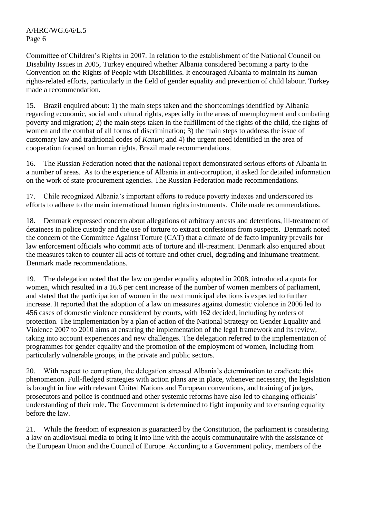Committee of Children's Rights in 2007. In relation to the establishment of the National Council on Disability Issues in 2005, Turkey enquired whether Albania considered becoming a party to the Convention on the Rights of People with Disabilities. It encouraged Albania to maintain its human rights-related efforts, particularly in the field of gender equality and prevention of child labour. Turkey made a recommendation.

15. Brazil enquired about: 1) the main steps taken and the shortcomings identified by Albania regarding economic, social and cultural rights, especially in the areas of unemployment and combating poverty and migration; 2) the main steps taken in the fulfillment of the rights of the child, the rights of women and the combat of all forms of discrimination; 3) the main steps to address the issue of customary law and traditional codes of *Kanun*; and 4) the urgent need identified in the area of cooperation focused on human rights. Brazil made recommendations.

16. The Russian Federation noted that the national report demonstrated serious efforts of Albania in a number of areas. As to the experience of Albania in anti-corruption, it asked for detailed information on the work of state procurement agencies. The Russian Federation made recommendations.

17. Chile recognized Albania's important efforts to reduce poverty indexes and underscored its efforts to adhere to the main international human rights instruments. Chile made recommendations.

18. Denmark expressed concern about allegations of arbitrary arrests and detentions, ill-treatment of detainees in police custody and the use of torture to extract confessions from suspects. Denmark noted the concern of the Committee Against Torture (CAT) that a climate of de facto impunity prevails for law enforcement officials who commit acts of torture and ill-treatment. Denmark also enquired about the measures taken to counter all acts of torture and other cruel, degrading and inhumane treatment. Denmark made recommendations.

19. The delegation noted that the law on gender equality adopted in 2008, introduced a quota for women, which resulted in a 16.6 per cent increase of the number of women members of parliament, and stated that the participation of women in the next municipal elections is expected to further increase. It reported that the adoption of a law on measures against domestic violence in 2006 led to 456 cases of domestic violence considered by courts, with 162 decided, including by orders of protection. The implementation by a plan of action of the National Strategy on Gender Equality and Violence 2007 to 2010 aims at ensuring the implementation of the legal framework and its review, taking into account experiences and new challenges. The delegation referred to the implementation of programmes for gender equality and the promotion of the employment of women, including from particularly vulnerable groups, in the private and public sectors.

20. With respect to corruption, the delegation stressed Albania's determination to eradicate this phenomenon. Full-fledged strategies with action plans are in place, whenever necessary, the legislation is brought in line with relevant United Nations and European conventions, and training of judges, prosecutors and police is continued and other systemic reforms have also led to changing officials' understanding of their role. The Government is determined to fight impunity and to ensuring equality before the law.

21. While the freedom of expression is guaranteed by the Constitution, the parliament is considering a law on audiovisual media to bring it into line with the acquis communautaire with the assistance of the European Union and the Council of Europe. According to a Government policy, members of the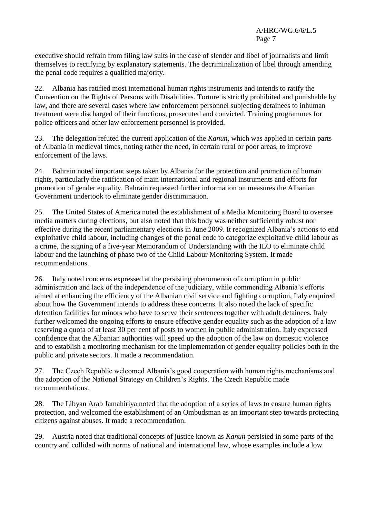executive should refrain from filing law suits in the case of slender and libel of journalists and limit themselves to rectifying by explanatory statements. The decriminalization of libel through amending the penal code requires a qualified majority.

22. Albania has ratified most international human rights instruments and intends to ratify the Convention on the Rights of Persons with Disabilities. Torture is strictly prohibited and punishable by law, and there are several cases where law enforcement personnel subjecting detainees to inhuman treatment were discharged of their functions, prosecuted and convicted. Training programmes for police officers and other law enforcement personnel is provided.

23. The delegation refuted the current application of the *Kanun*, which was applied in certain parts of Albania in medieval times, noting rather the need, in certain rural or poor areas, to improve enforcement of the laws.

24. Bahrain noted important steps taken by Albania for the protection and promotion of human rights, particularly the ratification of main international and regional instruments and efforts for promotion of gender equality. Bahrain requested further information on measures the Albanian Government undertook to eliminate gender discrimination.

25. The United States of America noted the establishment of a Media Monitoring Board to oversee media matters during elections, but also noted that this body was neither sufficiently robust nor effective during the recent parliamentary elections in June 2009. It recognized Albania's actions to end exploitative child labour, including changes of the penal code to categorize exploitative child labour as a crime, the signing of a five-year Memorandum of Understanding with the ILO to eliminate child labour and the launching of phase two of the Child Labour Monitoring System. It made recommendations.

26. Italy noted concerns expressed at the persisting phenomenon of corruption in public administration and lack of the independence of the judiciary, while commending Albania's efforts aimed at enhancing the efficiency of the Albanian civil service and fighting corruption, Italy enquired about how the Government intends to address these concerns. It also noted the lack of specific detention facilities for minors who have to serve their sentences together with adult detainees. Italy further welcomed the ongoing efforts to ensure effective gender equality such as the adoption of a law reserving a quota of at least 30 per cent of posts to women in public administration. Italy expressed confidence that the Albanian authorities will speed up the adoption of the law on domestic violence and to establish a monitoring mechanism for the implementation of gender equality policies both in the public and private sectors. It made a recommendation.

27. The Czech Republic welcomed Albania's good cooperation with human rights mechanisms and the adoption of the National Strategy on Children's Rights. The Czech Republic made recommendations.

28. The Libyan Arab Jamahiriya noted that the adoption of a series of laws to ensure human rights protection, and welcomed the establishment of an Ombudsman as an important step towards protecting citizens against abuses. It made a recommendation.

29. Austria noted that traditional concepts of justice known as *Kanun* persisted in some parts of the country and collided with norms of national and international law, whose examples include a low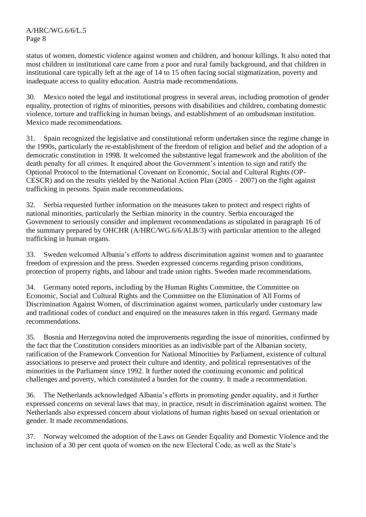status of women, domestic violence against women and children, and honour killings. It also noted that most children in institutional care came from a poor and rural family background, and that children in institutional care typically left at the age of 14 to 15 often facing social stigmatization, poverty and inadequate access to quality education. Austria made recommendations.

30. Mexico noted the legal and institutional progress in several areas, including promotion of gender equality, protection of rights of minorities, persons with disabilities and children, combating domestic violence, torture and trafficking in human beings, and establishment of an ombudsman institution. Mexico made recommendations.

31. Spain recognized the legislative and constitutional reform undertaken since the regime change in the 1990s, particularly the re-establishment of the freedom of religion and belief and the adoption of a democratic constitution in 1998. It welcomed the substantive legal framework and the abolition of the death penalty for all crimes. It enquired about the Government's intention to sign and ratify the Optional Protocol to the International Covenant on Economic, Social and Cultural Rights (OP-CESCR) and on the results yielded by the National Action Plan  $(2005 - 2007)$  on the fight against trafficking in persons. Spain made recommendations.

32. Serbia requested further information on the measures taken to protect and respect rights of national minorities, particularly the Serbian minority in the country. Serbia encouraged the Government to seriously consider and implement recommendations as stipulated in paragraph 16 of the summary prepared by OHCHR (A/HRC/WG.6/6/ALB/3) with particular attention to the alleged trafficking in human organs.

33. Sweden welcomed Albania's efforts to address discrimination against women and to guarantee freedom of expression and the press. Sweden expressed concerns regarding prison conditions, protection of property rights, and labour and trade union rights. Sweden made recommendations.

34. Germany noted reports, including by the Human Rights Committee, the Committee on Economic, Social and Cultural Rights and the Committee on the Elimination of All Forms of Discrimination Against Women, of discrimination against women, particularly under customary law and traditional codes of conduct and enquired on the measures taken in this regard. Germany made recommendations.

35. Bosnia and Herzegovina noted the improvements regarding the issue of minorities, confirmed by the fact that the Constitution considers minorities as an indivisible part of the Albanian society, ratification of the Framework Convention for National Minorities by Parliament, existence of cultural associations to preserve and protect their culture and identity, and political representatives of the minorities in the Parliament since 1992. It further noted the continuing economic and political challenges and poverty, which constituted a burden for the country. It made a recommendation.

36. The Netherlands acknowledged Albania's efforts in promoting gender equality, and it further expressed concerns on several laws that may, in practice, result in discrimination against women. The Netherlands also expressed concern about violations of human rights based on sexual orientation or gender. It made recommendations.

37. Norway welcomed the adoption of the Laws on Gender Equality and Domestic Violence and the inclusion of a 30 per cent quota of women on the new Electoral Code, as well as the State's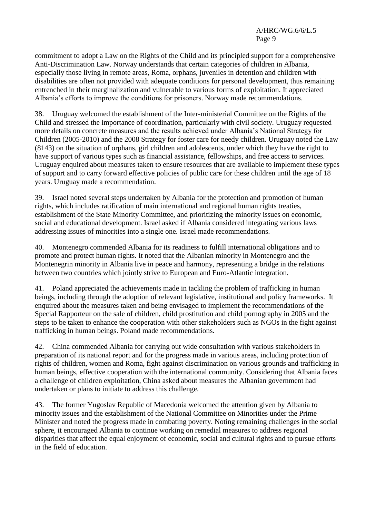commitment to adopt a Law on the Rights of the Child and its principled support for a comprehensive Anti-Discrimination Law. Norway understands that certain categories of children in Albania, especially those living in remote areas, Roma, orphans, juveniles in detention and children with disabilities are often not provided with adequate conditions for personal development, thus remaining entrenched in their marginalization and vulnerable to various forms of exploitation. It appreciated Albania's efforts to improve the conditions for prisoners. Norway made recommendations.

38. Uruguay welcomed the establishment of the Inter-ministerial Committee on the Rights of the Child and stressed the importance of coordination, particularly with civil society. Uruguay requested more details on concrete measures and the results achieved under Albania's National Strategy for Children (2005-2010) and the 2008 Strategy for foster care for needy children. Uruguay noted the Law (8143) on the situation of orphans, girl children and adolescents, under which they have the right to have support of various types such as financial assistance, fellowships, and free access to services. Uruguay enquired about measures taken to ensure resources that are available to implement these types of support and to carry forward effective policies of public care for these children until the age of 18 years. Uruguay made a recommendation.

39. Israel noted several steps undertaken by Albania for the protection and promotion of human rights, which includes ratification of main international and regional human rights treaties, establishment of the State Minority Committee, and prioritizing the minority issues on economic, social and educational development. Israel asked if Albania considered integrating various laws addressing issues of minorities into a single one. Israel made recommendations.

40. Montenegro commended Albania for its readiness to fulfill international obligations and to promote and protect human rights. It noted that the Albanian minority in Montenegro and the Montenegrin minority in Albania live in peace and harmony, representing a bridge in the relations between two countries which jointly strive to European and Euro-Atlantic integration.

41. Poland appreciated the achievements made in tackling the problem of trafficking in human beings, including through the adoption of relevant legislative, institutional and policy frameworks. It enquired about the measures taken and being envisaged to implement the recommendations of the Special Rapporteur on the sale of children, child prostitution and child pornography in 2005 and the steps to be taken to enhance the cooperation with other stakeholders such as NGOs in the fight against trafficking in human beings. Poland made recommendations.

42. China commended Albania for carrying out wide consultation with various stakeholders in preparation of its national report and for the progress made in various areas, including protection of rights of children, women and Roma, fight against discrimination on various grounds and trafficking in human beings, effective cooperation with the international community. Considering that Albania faces a challenge of children exploitation, China asked about measures the Albanian government had undertaken or plans to initiate to address this challenge.

43. The former Yugoslav Republic of Macedonia welcomed the attention given by Albania to minority issues and the establishment of the National Committee on Minorities under the Prime Minister and noted the progress made in combating poverty. Noting remaining challenges in the social sphere, it encouraged Albania to continue working on remedial measures to address regional disparities that affect the equal enjoyment of economic, social and cultural rights and to pursue efforts in the field of education.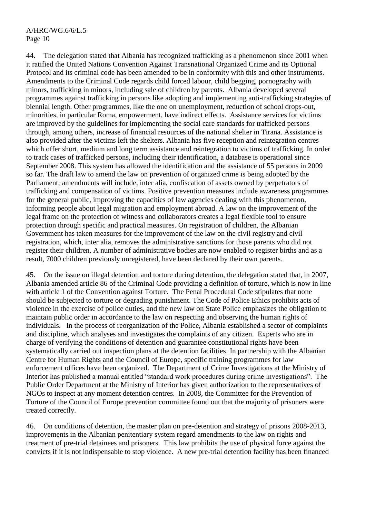44. The delegation stated that Albania has recognized trafficking as a phenomenon since 2001 when it ratified the United Nations Convention Against Transnational Organized Crime and its Optional Protocol and its criminal code has been amended to be in conformity with this and other instruments. Amendments to the Criminal Code regards child forced labour, child begging, pornography with minors, trafficking in minors, including sale of children by parents. Albania developed several programmes against trafficking in persons like adopting and implementing anti-trafficking strategies of biennial length. Other programmes, like the one on unemployment, reduction of school drops-out, minorities, in particular Roma, empowerment, have indirect effects. Assistance services for victims are improved by the guidelines for implementing the social care standards for trafficked persons through, among others, increase of financial resources of the national shelter in Tirana. Assistance is also provided after the victims left the shelters. Albania has five reception and reintegration centres which offer short, medium and long term assistance and reintegration to victims of trafficking. In order to track cases of trafficked persons, including their identification, a database is operational since September 2008. This system has allowed the identification and the assistance of 55 persons in 2009 so far. The draft law to amend the law on prevention of organized crime is being adopted by the Parliament; amendments will include, inter alia, confiscation of assets owned by perpetrators of trafficking and compensation of victims. Positive prevention measures include awareness programmes for the general public, improving the capacities of law agencies dealing with this phenomenon, informing people about legal migration and employment abroad. A law on the improvement of the legal frame on the protection of witness and collaborators creates a legal flexible tool to ensure protection through specific and practical measures. On registration of children, the Albanian Government has taken measures for the improvement of the law on the civil registry and civil registration, which, inter alia, removes the administrative sanctions for those parents who did not register their children. A number of administrative bodies are now enabled to register births and as a result, 7000 children previously unregistered, have been declared by their own parents.

45. On the issue on illegal detention and torture during detention, the delegation stated that, in 2007, Albania amended article 86 of the Criminal Code providing a definition of torture, which is now in line with article 1 of the Convention against Torture. The Penal Procedural Code stipulates that none should be subjected to torture or degrading punishment. The Code of Police Ethics prohibits acts of violence in the exercise of police duties, and the new law on State Police emphasizes the obligation to maintain public order in accordance to the law on respecting and observing the human rights of individuals. In the process of reorganization of the Police, Albania established a sector of complaints and discipline, which analyses and investigates the complaints of any citizen. Experts who are in charge of verifying the conditions of detention and guarantee constitutional rights have been systematically carried out inspection plans at the detention facilities. In partnership with the Albanian Centre for Human Rights and the Council of Europe, specific training programmes for law enforcement offices have been organized. The Department of Crime Investigations at the Ministry of Interior has published a manual entitled "standard work procedures during crime investigations". The Public Order Department at the Ministry of Interior has given authorization to the representatives of NGOs to inspect at any moment detention centres. In 2008, the Committee for the Prevention of Torture of the Council of Europe prevention committee found out that the majority of prisoners were treated correctly.

46. On conditions of detention, the master plan on pre-detention and strategy of prisons 2008-2013, improvements in the Albanian penitentiary system regard amendments to the law on rights and treatment of pre-trial detainees and prisoners. This law prohibits the use of physical force against the convicts if it is not indispensable to stop violence. A new pre-trial detention facility has been financed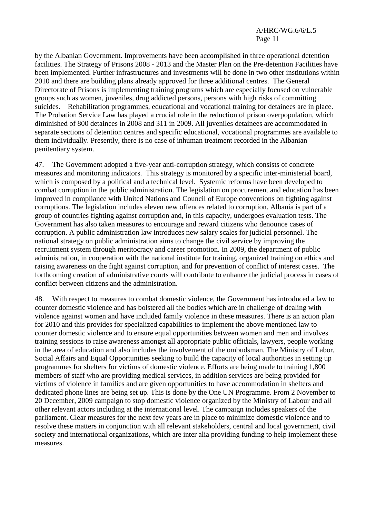by the Albanian Government. Improvements have been accomplished in three operational detention facilities. The Strategy of Prisons 2008 - 2013 and the Master Plan on the Pre-detention Facilities have been implemented. Further infrastructures and investments will be done in two other institutions within 2010 and there are building plans already approved for three additional centres. The General Directorate of Prisons is implementing training programs which are especially focused on vulnerable groups such as women, juveniles, drug addicted persons, persons with high risks of committing suicides. Rehabilitation programmes, educational and vocational training for detainees are in place. The Probation Service Law has played a crucial role in the reduction of prison overpopulation, which diminished of 800 detainees in 2008 and 311 in 2009. All juveniles detainees are accommodated in separate sections of detention centres and specific educational, vocational programmes are available to them individually. Presently, there is no case of inhuman treatment recorded in the Albanian penitentiary system.

47. The Government adopted a five-year anti-corruption strategy, which consists of concrete measures and monitoring indicators. This strategy is monitored by a specific inter-ministerial board, which is composed by a political and a technical level. Systemic reforms have been developed to combat corruption in the public administration. The legislation on procurement and education has been improved in compliance with United Nations and Council of Europe conventions on fighting against corruptions. The legislation includes eleven new offences related to corruption. Albania is part of a group of countries fighting against corruption and, in this capacity, undergoes evaluation tests. The Government has also taken measures to encourage and reward citizens who denounce cases of corruption. A public administration law introduces new salary scales for judicial personnel. The national strategy on public administration aims to change the civil service by improving the recruitment system through meritocracy and career promotion. In 2009, the department of public administration, in cooperation with the national institute for training, organized training on ethics and raising awareness on the fight against corruption, and for prevention of conflict of interest cases. The forthcoming creation of administrative courts will contribute to enhance the judicial process in cases of conflict between citizens and the administration.

48. With respect to measures to combat domestic violence, the Government has introduced a law to counter domestic violence and has bolstered all the bodies which are in challenge of dealing with violence against women and have included family violence in these measures. There is an action plan for 2010 and this provides for specialized capabilities to implement the above mentioned law to counter domestic violence and to ensure equal opportunities between women and men and involves training sessions to raise awareness amongst all appropriate public officials, lawyers, people working in the area of education and also includes the involvement of the ombudsman. The Ministry of Labor, Social Affairs and Equal Opportunities seeking to build the capacity of local authorities in setting up programmes for shelters for victims of domestic violence. Efforts are being made to training 1,800 members of staff who are providing medical services, in addition services are being provided for victims of violence in families and are given opportunities to have accommodation in shelters and dedicated phone lines are being set up. This is done by the One UN Programme. From 2 November to 20 December, 2009 campaign to stop domestic violence organized by the Ministry of Labour and all other relevant actors including at the international level. The campaign includes speakers of the parliament. Clear measures for the next few years are in place to minimize domestic violence and to resolve these matters in conjunction with all relevant stakeholders, central and local government, civil society and international organizations, which are inter alia providing funding to help implement these measures.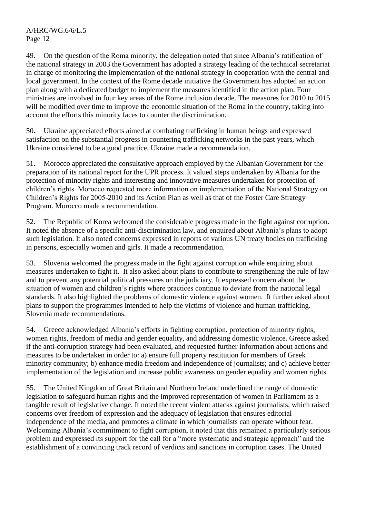49. On the question of the Roma minority, the delegation noted that since Albania's ratification of the national strategy in 2003 the Government has adopted a strategy leading of the technical secretariat in charge of monitoring the implementation of the national strategy in cooperation with the central and local government. In the context of the Rome decade initiative the Government has adopted an action plan along with a dedicated budget to implement the measures identified in the action plan. Four ministries are involved in four key areas of the Rome inclusion decade. The measures for 2010 to 2015 will be modified over time to improve the economic situation of the Roma in the country, taking into account the efforts this minority faces to counter the discrimination.

50. Ukraine appreciated efforts aimed at combating trafficking in human beings and expressed satisfaction on the substantial progress in countering trafficking networks in the past years, which Ukraine considered to be a good practice. Ukraine made a recommendation.

51. Morocco appreciated the consultative approach employed by the Albanian Government for the preparation of its national report for the UPR process. It valued steps undertaken by Albania for the protection of minority rights and interesting and innovative measures undertaken for protection of children's rights. Morocco requested more information on implementation of the National Strategy on Children's Rights for 2005-2010 and its Action Plan as well as that of the Foster Care Strategy Program. Morocco made a recommendation.

52. The Republic of Korea welcomed the considerable progress made in the fight against corruption. It noted the absence of a specific anti-discrimination law, and enquired about Albania's plans to adopt such legislation. It also noted concerns expressed in reports of various UN treaty bodies on trafficking in persons, especially women and girls. It made a recommendation.

53. Slovenia welcomed the progress made in the fight against corruption while enquiring about measures undertaken to fight it. It also asked about plans to contribute to strengthening the rule of law and to prevent any potential political pressures on the judiciary. It expressed concern about the situation of women and children's rights where practices continue to deviate from the national legal standards. It also highlighted the problems of domestic violence against women. It further asked about plans to support the programmes intended to help the victims of violence and human trafficking. Slovenia made recommendations.

54. Greece acknowledged Albania's efforts in fighting corruption, protection of minority rights, women rights, freedom of media and gender equality, and addressing domestic violence. Greece asked if the anti-corruption strategy had been evaluated, and requested further information about actions and measures to be undertaken in order to: a) ensure full property restitution for members of Greek minority community; b) enhance media freedom and independence of journalists; and c) achieve better implementation of the legislation and increase public awareness on gender equality and women rights.

55. The United Kingdom of Great Britain and Northern Ireland underlined the range of domestic legislation to safeguard human rights and the improved representation of women in Parliament as a tangible result of legislative change. It noted the recent violent attacks against journalists, which raised concerns over freedom of expression and the adequacy of legislation that ensures editorial independence of the media, and promotes a climate in which journalists can operate without fear. Welcoming Albania's commitment to fight corruption, it noted that this remained a particularly serious problem and expressed its support for the call for a "more systematic and strategic approach" and the establishment of a convincing track record of verdicts and sanctions in corruption cases. The United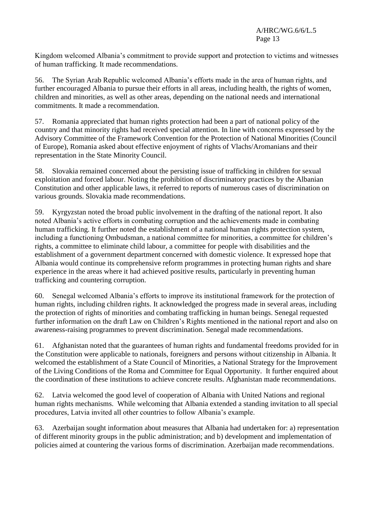Kingdom welcomed Albania's commitment to provide support and protection to victims and witnesses of human trafficking. It made recommendations.

56. The Syrian Arab Republic welcomed Albania's efforts made in the area of human rights, and further encouraged Albania to pursue their efforts in all areas, including health, the rights of women, children and minorities, as well as other areas, depending on the national needs and international commitments. It made a recommendation.

57. Romania appreciated that human rights protection had been a part of national policy of the country and that minority rights had received special attention. In line with concerns expressed by the Advisory Committee of the Framework Convention for the Protection of National Minorities (Council of Europe), Romania asked about effective enjoyment of rights of Vlachs/Aromanians and their representation in the State Minority Council.

58. Slovakia remained concerned about the persisting issue of trafficking in children for sexual exploitation and forced labour. Noting the prohibition of discriminatory practices by the Albanian Constitution and other applicable laws, it referred to reports of numerous cases of discrimination on various grounds. Slovakia made recommendations.

59. Kyrgyzstan noted the broad public involvement in the drafting of the national report. It also noted Albania's active efforts in combating corruption and the achievements made in combating human trafficking. It further noted the establishment of a national human rights protection system, including a functioning Ombudsman, a national committee for minorities, a committee for children's rights, a committee to eliminate child labour, a committee for people with disabilities and the establishment of a government department concerned with domestic violence. It expressed hope that Albania would continue its comprehensive reform programmes in protecting human rights and share experience in the areas where it had achieved positive results, particularly in preventing human trafficking and countering corruption.

60. Senegal welcomed Albania's efforts to improve its institutional framework for the protection of human rights, including children rights. It acknowledged the progress made in several areas, including the protection of rights of minorities and combating trafficking in human beings. Senegal requested further information on the draft Law on Children's Rights mentioned in the national report and also on awareness-raising programmes to prevent discrimination. Senegal made recommendations.

61. Afghanistan noted that the guarantees of human rights and fundamental freedoms provided for in the Constitution were applicable to nationals, foreigners and persons without citizenship in Albania. It welcomed the establishment of a State Council of Minorities, a National Strategy for the Improvement of the Living Conditions of the Roma and Committee for Equal Opportunity. It further enquired about the coordination of these institutions to achieve concrete results. Afghanistan made recommendations.

62. Latvia welcomed the good level of cooperation of Albania with United Nations and regional human rights mechanisms. While welcoming that Albania extended a standing invitation to all special procedures, Latvia invited all other countries to follow Albania's example.

63. Azerbaijan sought information about measures that Albania had undertaken for: a) representation of different minority groups in the public administration; and b) development and implementation of policies aimed at countering the various forms of discrimination. Azerbaijan made recommendations.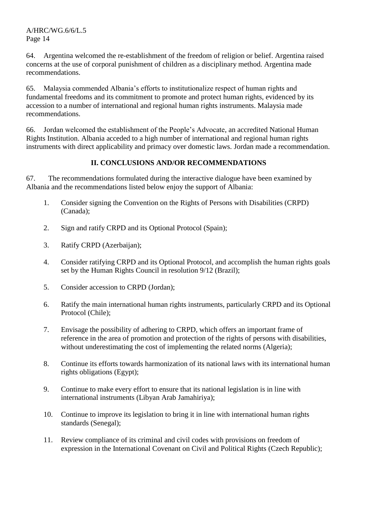64. Argentina welcomed the re-establishment of the freedom of religion or belief. Argentina raised concerns at the use of corporal punishment of children as a disciplinary method. Argentina made recommendations.

65. Malaysia commended Albania's efforts to institutionalize respect of human rights and fundamental freedoms and its commitment to promote and protect human rights, evidenced by its accession to a number of international and regional human rights instruments. Malaysia made recommendations.

66. Jordan welcomed the establishment of the People's Advocate, an accredited National Human Rights Institution. Albania acceded to a high number of international and regional human rights instruments with direct applicability and primacy over domestic laws. Jordan made a recommendation.

# **II. CONCLUSIONS AND/OR RECOMMENDATIONS**

67. The recommendations formulated during the interactive dialogue have been examined by Albania and the recommendations listed below enjoy the support of Albania:

- 1. Consider signing the Convention on the Rights of Persons with Disabilities (CRPD) (Canada);
- 2. Sign and ratify CRPD and its Optional Protocol (Spain);
- 3. Ratify CRPD (Azerbaijan);
- 4. Consider ratifying CRPD and its Optional Protocol, and accomplish the human rights goals set by the Human Rights Council in resolution 9/12 (Brazil);
- 5. Consider accession to CRPD (Jordan);
- 6. Ratify the main international human rights instruments, particularly CRPD and its Optional Protocol (Chile);
- 7. Envisage the possibility of adhering to CRPD, which offers an important frame of reference in the area of promotion and protection of the rights of persons with disabilities, without underestimating the cost of implementing the related norms (Algeria);
- 8. Continue its efforts towards harmonization of its national laws with its international human rights obligations (Egypt);
- 9. Continue to make every effort to ensure that its national legislation is in line with international instruments (Libyan Arab Jamahiriya);
- 10. Continue to improve its legislation to bring it in line with international human rights standards (Senegal);
- 11. Review compliance of its criminal and civil codes with provisions on freedom of expression in the International Covenant on Civil and Political Rights (Czech Republic);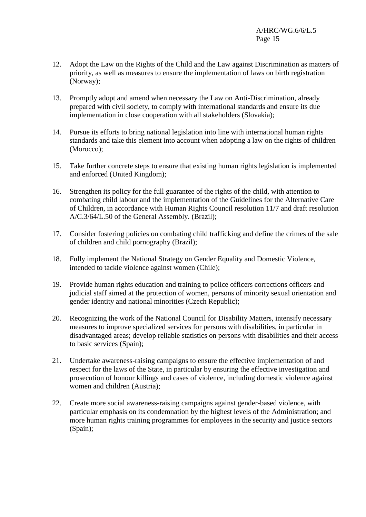- 12. Adopt the Law on the Rights of the Child and the Law against Discrimination as matters of priority, as well as measures to ensure the implementation of laws on birth registration (Norway);
- 13. Promptly adopt and amend when necessary the Law on Anti-Discrimination, already prepared with civil society, to comply with international standards and ensure its due implementation in close cooperation with all stakeholders (Slovakia);
- 14. Pursue its efforts to bring national legislation into line with international human rights standards and take this element into account when adopting a law on the rights of children (Morocco);
- 15. Take further concrete steps to ensure that existing human rights legislation is implemented and enforced (United Kingdom);
- 16. Strengthen its policy for the full guarantee of the rights of the child, with attention to combating child labour and the implementation of the Guidelines for the Alternative Care of Children, in accordance with Human Rights Council resolution 11/7 and draft resolution A/C.3/64/L.50 of the General Assembly. (Brazil);
- 17. Consider fostering policies on combating child trafficking and define the crimes of the sale of children and child pornography (Brazil);
- 18. Fully implement the National Strategy on Gender Equality and Domestic Violence, intended to tackle violence against women (Chile);
- 19. Provide human rights education and training to police officers corrections officers and judicial staff aimed at the protection of women, persons of minority sexual orientation and gender identity and national minorities (Czech Republic);
- 20. Recognizing the work of the National Council for Disability Matters, intensify necessary measures to improve specialized services for persons with disabilities, in particular in disadvantaged areas; develop reliable statistics on persons with disabilities and their access to basic services (Spain);
- 21. Undertake awareness-raising campaigns to ensure the effective implementation of and respect for the laws of the State, in particular by ensuring the effective investigation and prosecution of honour killings and cases of violence, including domestic violence against women and children (Austria);
- 22. Create more social awareness-raising campaigns against gender-based violence, with particular emphasis on its condemnation by the highest levels of the Administration; and more human rights training programmes for employees in the security and justice sectors (Spain);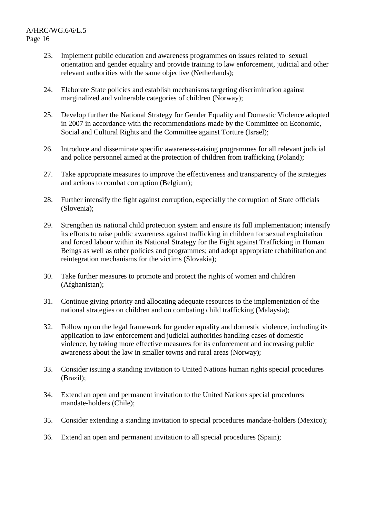- 23. Implement public education and awareness programmes on issues related to sexual orientation and gender equality and provide training to law enforcement, judicial and other relevant authorities with the same objective (Netherlands);
- 24. Elaborate State policies and establish mechanisms targeting discrimination against marginalized and vulnerable categories of children (Norway);
- 25. Develop further the National Strategy for Gender Equality and Domestic Violence adopted in 2007 in accordance with the recommendations made by the Committee on Economic, Social and Cultural Rights and the Committee against Torture (Israel);
- 26. Introduce and disseminate specific awareness-raising programmes for all relevant judicial and police personnel aimed at the protection of children from trafficking (Poland);
- 27. Take appropriate measures to improve the effectiveness and transparency of the strategies and actions to combat corruption (Belgium);
- 28. Further intensify the fight against corruption, especially the corruption of State officials (Slovenia);
- 29. Strengthen its national child protection system and ensure its full implementation; intensify its efforts to raise public awareness against trafficking in children for sexual exploitation and forced labour within its National Strategy for the Fight against Trafficking in Human Beings as well as other policies and programmes; and adopt appropriate rehabilitation and reintegration mechanisms for the victims (Slovakia);
- 30. Take further measures to promote and protect the rights of women and children (Afghanistan);
- 31. Continue giving priority and allocating adequate resources to the implementation of the national strategies on children and on combating child trafficking (Malaysia);
- 32. Follow up on the legal framework for gender equality and domestic violence, including its application to law enforcement and judicial authorities handling cases of domestic violence, by taking more effective measures for its enforcement and increasing public awareness about the law in smaller towns and rural areas (Norway);
- 33. Consider issuing a standing invitation to United Nations human rights special procedures (Brazil);
- 34. Extend an open and permanent invitation to the United Nations special procedures mandate-holders (Chile);
- 35. Consider extending a standing invitation to special procedures mandate-holders (Mexico);
- 36. Extend an open and permanent invitation to all special procedures (Spain);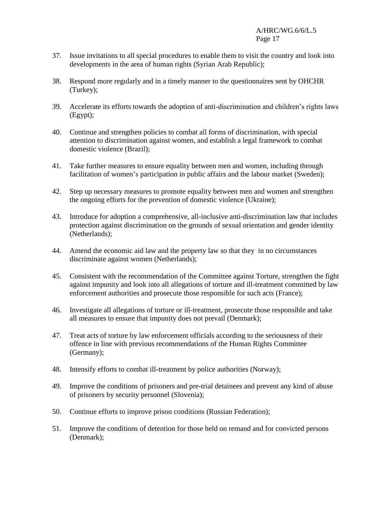- 37. Issue invitations to all special procedures to enable them to visit the country and look into developments in the area of human rights (Syrian Arab Republic);
- 38. Respond more regularly and in a timely manner to the questionnaires sent by OHCHR (Turkey);
- 39. Accelerate its efforts towards the adoption of anti-discrimination and children's rights laws (Egypt);
- 40. Continue and strengthen policies to combat all forms of discrimination, with special attention to discrimination against women, and establish a legal framework to combat domestic violence (Brazil);
- 41. Take further measures to ensure equality between men and women, including through facilitation of women's participation in public affairs and the labour market (Sweden);
- 42. Step up necessary measures to promote equality between men and women and strengthen the ongoing efforts for the prevention of domestic violence (Ukraine);
- 43. Introduce for adoption a comprehensive, all-inclusive anti-discrimination law that includes protection against discrimination on the grounds of sexual orientation and gender identity (Netherlands);
- 44. Amend the economic aid law and the property law so that they in no circumstances discriminate against women (Netherlands);
- 45. Consistent with the recommendation of the Committee against Torture, strengthen the fight against impunity and look into all allegations of torture and ill-treatment committed by law enforcement authorities and prosecute those responsible for such acts (France);
- 46. Investigate all allegations of torture or ill-treatment, prosecute those responsible and take all measures to ensure that impunity does not prevail (Denmark);
- 47. Treat acts of torture by law enforcement officials according to the seriousness of their offence in line with previous recommendations of the Human Rights Committee (Germany);
- 48. Intensify efforts to combat ill-treatment by police authorities (Norway);
- 49. Improve the conditions of prisoners and pre-trial detainees and prevent any kind of abuse of prisoners by security personnel (Slovenia);
- 50. Continue efforts to improve prison conditions (Russian Federation);
- 51. Improve the conditions of detention for those held on remand and for convicted persons (Denmark);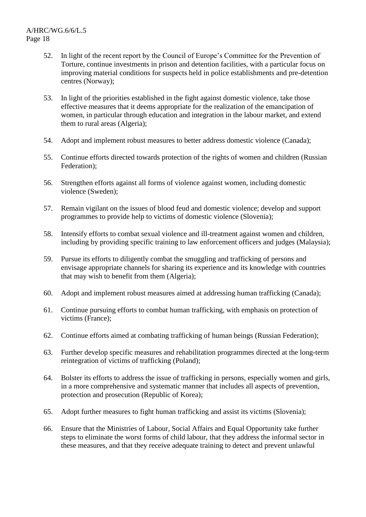- 52. In light of the recent report by the Council of Europe's Committee for the Prevention of Torture, continue investments in prison and detention facilities, with a particular focus on improving material conditions for suspects held in police establishments and pre-detention centres (Norway);
- 53. In light of the priorities established in the fight against domestic violence, take those effective measures that it deems appropriate for the realization of the emancipation of women, in particular through education and integration in the labour market, and extend them to rural areas (Algeria);
- 54. Adopt and implement robust measures to better address domestic violence (Canada);
- 55. Continue efforts directed towards protection of the rights of women and children (Russian Federation);
- 56. Strengthen efforts against all forms of violence against women, including domestic violence (Sweden);
- 57. Remain vigilant on the issues of blood feud and domestic violence; develop and support programmes to provide help to victims of domestic violence (Slovenia);
- 58. Intensify efforts to combat sexual violence and ill-treatment against women and children, including by providing specific training to law enforcement officers and judges (Malaysia);
- 59. Pursue its efforts to diligently combat the smuggling and trafficking of persons and envisage appropriate channels for sharing its experience and its knowledge with countries that may wish to benefit from them (Algeria);
- 60. Adopt and implement robust measures aimed at addressing human trafficking (Canada);
- 61. Continue pursuing efforts to combat human trafficking, with emphasis on protection of victims (France);
- 62. Continue efforts aimed at combating trafficking of human beings (Russian Federation);
- 63. Further develop specific measures and rehabilitation programmes directed at the long-term reintegration of victims of trafficking (Poland);
- 64. Bolster its efforts to address the issue of trafficking in persons, especially women and girls, in a more comprehensive and systematic manner that includes all aspects of prevention, protection and prosecution (Republic of Korea);
- 65. Adopt further measures to fight human trafficking and assist its victims (Slovenia);
- 66. Ensure that the Ministries of Labour, Social Affairs and Equal Opportunity take further steps to eliminate the worst forms of child labour, that they address the informal sector in these measures, and that they receive adequate training to detect and prevent unlawful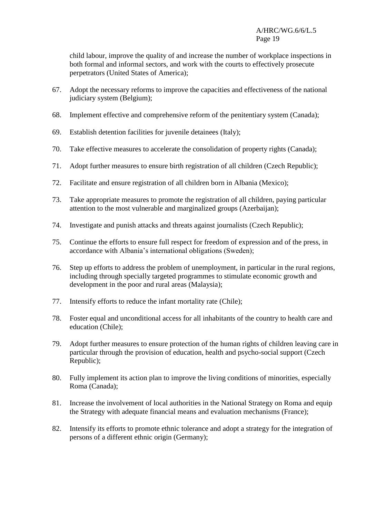child labour, improve the quality of and increase the number of workplace inspections in both formal and informal sectors, and work with the courts to effectively prosecute perpetrators (United States of America);

- 67. Adopt the necessary reforms to improve the capacities and effectiveness of the national judiciary system (Belgium);
- 68. Implement effective and comprehensive reform of the penitentiary system (Canada);
- 69. Establish detention facilities for juvenile detainees (Italy);
- 70. Take effective measures to accelerate the consolidation of property rights (Canada);
- 71. Adopt further measures to ensure birth registration of all children (Czech Republic);
- 72. Facilitate and ensure registration of all children born in Albania (Mexico);
- 73. Take appropriate measures to promote the registration of all children, paying particular attention to the most vulnerable and marginalized groups (Azerbaijan);
- 74. Investigate and punish attacks and threats against journalists (Czech Republic);
- 75. Continue the efforts to ensure full respect for freedom of expression and of the press, in accordance with Albania's international obligations (Sweden);
- 76. Step up efforts to address the problem of unemployment, in particular in the rural regions, including through specially targeted programmes to stimulate economic growth and development in the poor and rural areas (Malaysia);
- 77. Intensify efforts to reduce the infant mortality rate (Chile);
- 78. Foster equal and unconditional access for all inhabitants of the country to health care and education (Chile);
- 79. Adopt further measures to ensure protection of the human rights of children leaving care in particular through the provision of education, health and psycho-social support (Czech Republic);
- 80. Fully implement its action plan to improve the living conditions of minorities, especially Roma (Canada);
- 81. Increase the involvement of local authorities in the National Strategy on Roma and equip the Strategy with adequate financial means and evaluation mechanisms (France);
- 82. Intensify its efforts to promote ethnic tolerance and adopt a strategy for the integration of persons of a different ethnic origin (Germany);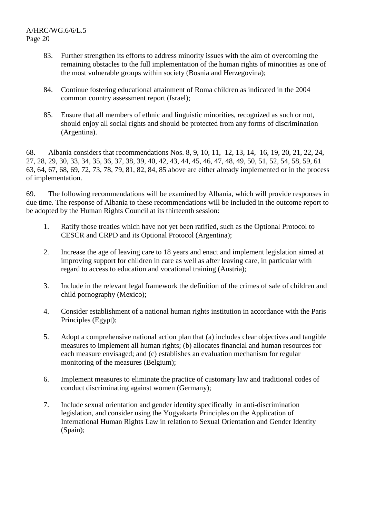- 83. Further strengthen its efforts to address minority issues with the aim of overcoming the remaining obstacles to the full implementation of the human rights of minorities as one of the most vulnerable groups within society (Bosnia and Herzegovina);
- 84. Continue fostering educational attainment of Roma children as indicated in the 2004 common country assessment report (Israel);
- 85. Ensure that all members of ethnic and linguistic minorities, recognized as such or not, should enjoy all social rights and should be protected from any forms of discrimination (Argentina).

68. Albania considers that recommendations Nos. 8, 9, 10, 11, 12, 13, 14, 16, 19, 20, 21, 22, 24, 27, 28, 29, 30, 33, 34, 35, 36, 37, 38, 39, 40, 42, 43, 44, 45, 46, 47, 48, 49, 50, 51, 52, 54, 58, 59, 61 63, 64, 67, 68, 69, 72, 73, 78, 79, 81, 82, 84, 85 above are either already implemented or in the process of implementation.

69. The following recommendations will be examined by Albania, which will provide responses in due time. The response of Albania to these recommendations will be included in the outcome report to be adopted by the Human Rights Council at its thirteenth session:

- 1. Ratify those treaties which have not yet been ratified, such as the Optional Protocol to CESCR and CRPD and its Optional Protocol (Argentina);
- 2. Increase the age of leaving care to 18 years and enact and implement legislation aimed at improving support for children in care as well as after leaving care, in particular with regard to access to education and vocational training (Austria);
- 3. Include in the relevant legal framework the definition of the crimes of sale of children and child pornography (Mexico);
- 4. Consider establishment of a national human rights institution in accordance with the Paris Principles (Egypt);
- 5. Adopt a comprehensive national action plan that (a) includes clear objectives and tangible measures to implement all human rights; (b) allocates financial and human resources for each measure envisaged; and (c) establishes an evaluation mechanism for regular monitoring of the measures (Belgium);
- 6. Implement measures to eliminate the practice of customary law and traditional codes of conduct discriminating against women (Germany);
- 7. Include sexual orientation and gender identity specifically in anti-discrimination legislation, and consider using the Yogyakarta Principles on the Application of International Human Rights Law in relation to Sexual Orientation and Gender Identity (Spain);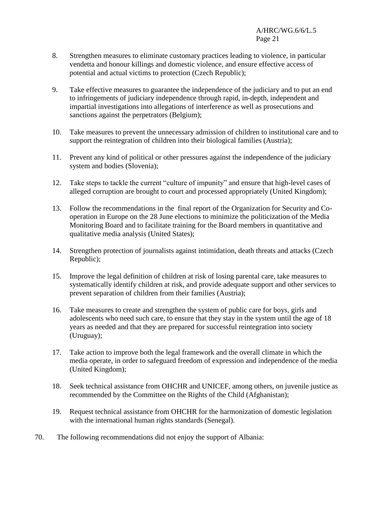- 8. Strengthen measures to eliminate customary practices leading to violence, in particular vendetta and honour killings and domestic violence, and ensure effective access of potential and actual victims to protection (Czech Republic);
- 9. Take effective measures to guarantee the independence of the judiciary and to put an end to infringements of judiciary independence through rapid, in-depth, independent and impartial investigations into allegations of interference as well as prosecutions and sanctions against the perpetrators (Belgium);
- 10. Take measures to prevent the unnecessary admission of children to institutional care and to support the reintegration of children into their biological families (Austria);
- 11. Prevent any kind of political or other pressures against the independence of the judiciary system and bodies (Slovenia);
- 12. Take steps to tackle the current "culture of impunity" and ensure that high-level cases of alleged corruption are brought to court and processed appropriately (United Kingdom);
- 13. Follow the recommendations in the final report of the Organization for Security and Cooperation in Europe on the 28 June elections to minimize the politicization of the Media Monitoring Board and to facilitate training for the Board members in quantitative and qualitative media analysis (United States);
- 14. Strengthen protection of journalists against intimidation, death threats and attacks (Czech Republic);
- 15. Improve the legal definition of children at risk of losing parental care, take measures to systematically identify children at risk, and provide adequate support and other services to prevent separation of children from their families (Austria);
- 16. Take measures to create and strengthen the system of public care for boys, girls and adolescents who need such care, to ensure that they stay in the system until the age of 18 years as needed and that they are prepared for successful reintegration into society (Uruguay);
- 17. Take action to improve both the legal framework and the overall climate in which the media operate, in order to safeguard freedom of expression and independence of the media (United Kingdom);
- 18. Seek technical assistance from OHCHR and UNICEF, among others, on juvenile justice as recommended by the Committee on the Rights of the Child (Afghanistan);
- 19. Request technical assistance from OHCHR for the harmonization of domestic legislation with the international human rights standards (Senegal).
- 70. The following recommendations did not enjoy the support of Albania: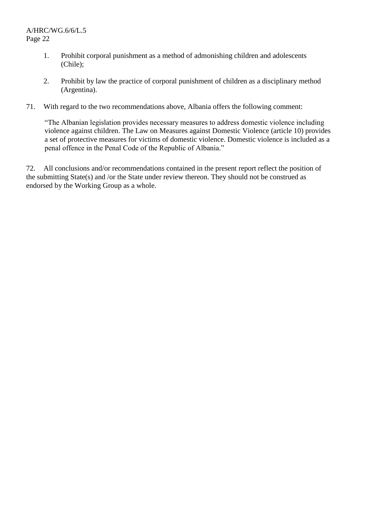- 1. Prohibit corporal punishment as a method of admonishing children and adolescents (Chile);
- 2. Prohibit by law the practice of corporal punishment of children as a disciplinary method (Argentina).
- 71. With regard to the two recommendations above, Albania offers the following comment:

"The Albanian legislation provides necessary measures to address domestic violence including violence against children. The Law on Measures against Domestic Violence (article 10) provides a set of protective measures for victims of domestic violence. Domestic violence is included as a penal offence in the Penal Code of the Republic of Albania."

72. All conclusions and/or recommendations contained in the present report reflect the position of the submitting State(s) and /or the State under review thereon. They should not be construed as endorsed by the Working Group as a whole.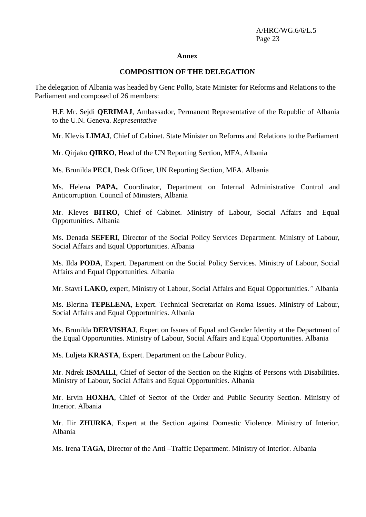#### **Annex**

#### **COMPOSITION OF THE DELEGATION**

The delegation of Albania was headed by Genc Pollo, State Minister for Reforms and Relations to the Parliament and composed of 26 members:

H.E Mr. Sejdi **QERIMAJ**, Ambassador, Permanent Representative of the Republic of Albania to the U.N. Geneva. *Representative*

Mr. Klevis **LIMAJ**, Chief of Cabinet. State Minister on Reforms and Relations to the Parliament

Mr. Qirjako **QIRKO**, Head of the UN Reporting Section, MFA, Albania

Ms. Brunilda **PECI**, Desk Officer, UN Reporting Section, MFA. Albania

Ms. Helena **PAPA,** Coordinator, Department on Internal Administrative Control and Anticorruption. Council of Ministers, Albania

Mr. Kleves **BITRO,** Chief of Cabinet. Ministry of Labour, Social Affairs and Equal Opportunities. Albania

Ms. Denada **SEFERI**, Director of the Social Policy Services Department. Ministry of Labour, Social Affairs and Equal Opportunities. Albania

Ms. Ilda **PODA**, Expert. Department on the Social Policy Services. Ministry of Labour, Social Affairs and Equal Opportunities. Albania

Mr. Stavri **LAKO,** expert, Ministry of Labour, Social Affairs and Equal Opportunities.*"* Albania

Ms. Blerina **TEPELENA**, Expert. Technical Secretariat on Roma Issues. Ministry of Labour, Social Affairs and Equal Opportunities. Albania

Ms. Brunilda **DERVISHAJ**, Expert on Issues of Equal and Gender Identity at the Department of the Equal Opportunities. Ministry of Labour, Social Affairs and Equal Opportunities. Albania

Ms. Luljeta **KRASTA**, Expert. Department on the Labour Policy.

Mr. Ndrek **ISMAILI**, Chief of Sector of the Section on the Rights of Persons with Disabilities. Ministry of Labour, Social Affairs and Equal Opportunities. Albania

Mr. Ervin **HOXHA**, Chief of Sector of the Order and Public Security Section. Ministry of Interior. Albania

Mr. Ilir **ZHURKA**, Expert at the Section against Domestic Violence. Ministry of Interior. Albania

Ms. Irena **TAGA**, Director of the Anti –Traffic Department. Ministry of Interior. Albania